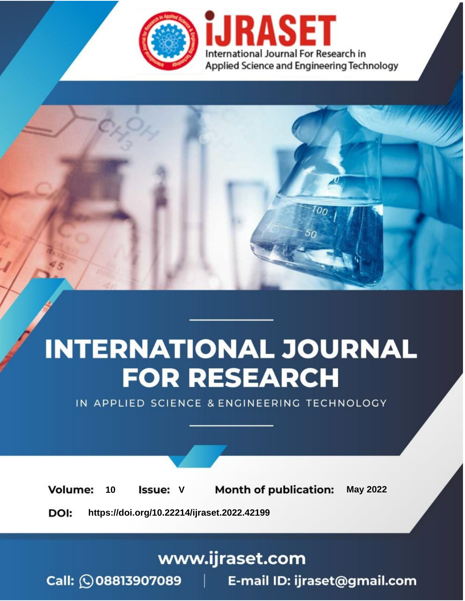

# **INTERNATIONAL JOURNAL FOR RESEARCH**

IN APPLIED SCIENCE & ENGINEERING TECHNOLOGY

Volume: **Month of publication: May 2022** 10 **Issue: V** 

DOI: https://doi.org/10.22214/ijraset.2022.42199

www.ijraset.com

Call: 008813907089 | E-mail ID: ijraset@gmail.com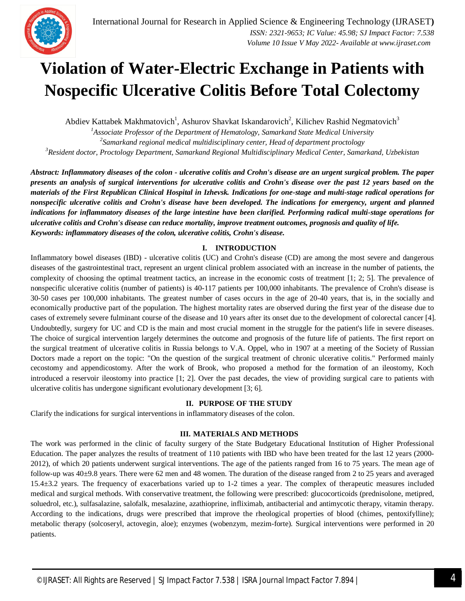### **Violation of Water-Electric Exchange in Patients with Nospecific Ulcerative Colitis Before Total Colectomy**

Abdiev Kattabek Makhmatovich<sup>1</sup>, Ashurov Shavkat Iskandarovich<sup>2</sup>, Kilichev Rashid Negmatovich<sup>3</sup>

*<sup>1</sup>Associate Professor of the Department of Hematology, Samarkand State Medical University 2 Samarkand regional medical multidisciplinary center, Head of department proctology <sup>3</sup>Resident doctor, Proctology Department, Samarkand Regional Multidisciplinary Medical Center, Samarkand, Uzbekistan*

*Abstract: Inflammatory diseases of the colon - ulcerative colitis and Crohn's disease are an urgent surgical problem. The paper presents an analysis of surgical interventions for ulcerative colitis and Crohn's disease over the past 12 years based on the materials of the First Republican Clinical Hospital in Izhevsk. Indications for one-stage and multi-stage radical operations for nonspecific ulcerative colitis and Crohn's disease have been developed. The indications for emergency, urgent and planned indications for inflammatory diseases of the large intestine have been clarified. Performing radical multi-stage operations for ulcerative colitis and Crohn's disease can reduce mortality, improve treatment outcomes, prognosis and quality of life. Keywords: inflammatory diseases of the colon, ulcerative colitis, Crohn's disease.*

#### **I. INTRODUCTION**

Inflammatory bowel diseases (IBD) - ulcerative colitis (UC) and Crohn's disease (CD) are among the most severe and dangerous diseases of the gastrointestinal tract, represent an urgent clinical problem associated with an increase in the number of patients, the complexity of choosing the optimal treatment tactics, an increase in the economic costs of treatment [1; 2; 5]. The prevalence of nonspecific ulcerative colitis (number of patients) is 40-117 patients per 100,000 inhabitants. The prevalence of Crohn's disease is 30-50 cases per 100,000 inhabitants. The greatest number of cases occurs in the age of 20-40 years, that is, in the socially and economically productive part of the population. The highest mortality rates are observed during the first year of the disease due to cases of extremely severe fulminant course of the disease and 10 years after its onset due to the development of colorectal cancer [4]. Undoubtedly, surgery for UC and CD is the main and most crucial moment in the struggle for the patient's life in severe diseases. The choice of surgical intervention largely determines the outcome and prognosis of the future life of patients. The first report on the surgical treatment of ulcerative colitis in Russia belongs to V.A. Oppel, who in 1907 at a meeting of the Society of Russian Doctors made a report on the topic: "On the question of the surgical treatment of chronic ulcerative colitis." Performed mainly cecostomy and appendicostomy. After the work of Brook, who proposed a method for the formation of an ileostomy, Koch introduced a reservoir ileostomy into practice [1; 2]. Over the past decades, the view of providing surgical care to patients with ulcerative colitis has undergone significant evolutionary development [3; 6].

#### **II. PURPOSE OF THE STUDY**

Clarify the indications for surgical interventions in inflammatory diseases of the colon.

#### **III. MATERIALS AND METHODS**

The work was performed in the clinic of faculty surgery of the State Budgetary Educational Institution of Higher Professional Education. The paper analyzes the results of treatment of 110 patients with IBD who have been treated for the last 12 years (2000- 2012), of which 20 patients underwent surgical interventions. The age of the patients ranged from 16 to 75 years. The mean age of follow-up was 40±9.8 years. There were 62 men and 48 women. The duration of the disease ranged from 2 to 25 years and averaged 15.4±3.2 years. The frequency of exacerbations varied up to 1-2 times a year. The complex of therapeutic measures included medical and surgical methods. With conservative treatment, the following were prescribed: glucocorticoids (prednisolone, metipred, soluedrol, etc.), sulfasalazine, salofalk, mesalazine, azathioprine, infliximab, antibacterial and antimycotic therapy, vitamin therapy. According to the indications, drugs were prescribed that improve the rheological properties of blood (chimes, pentoxifylline); metabolic therapy (solcoseryl, actovegin, aloe); enzymes (wobenzym, mezim-forte). Surgical interventions were performed in 20 patients.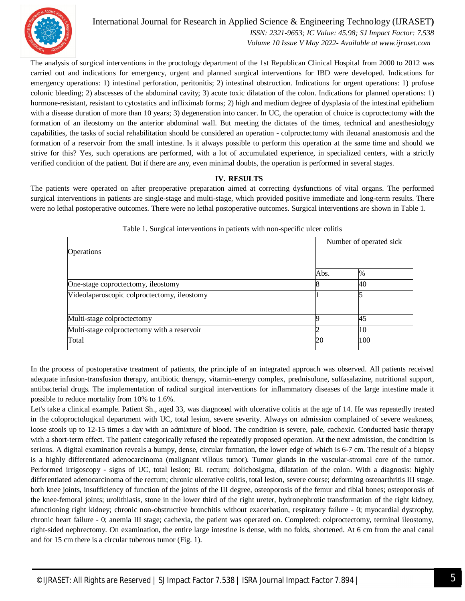

International Journal for Research in Applied Science & Engineering Technology (IJRASET**)**

 *ISSN: 2321-9653; IC Value: 45.98; SJ Impact Factor: 7.538 Volume 10 Issue V May 2022- Available at www.ijraset.com*

The analysis of surgical interventions in the proctology department of the 1st Republican Clinical Hospital from 2000 to 2012 was carried out and indications for emergency, urgent and planned surgical interventions for IBD were developed. Indications for emergency operations: 1) intestinal perforation, peritonitis; 2) intestinal obstruction. Indications for urgent operations: 1) profuse colonic bleeding; 2) abscesses of the abdominal cavity; 3) acute toxic dilatation of the colon. Indications for planned operations: 1) hormone-resistant, resistant to cytostatics and infliximab forms; 2) high and medium degree of dysplasia of the intestinal epithelium with a disease duration of more than 10 years; 3) degeneration into cancer. In UC, the operation of choice is coproctectomy with the formation of an ileostomy on the anterior abdominal wall. But meeting the dictates of the times, technical and anesthesiology capabilities, the tasks of social rehabilitation should be considered an operation - colproctectomy with ileoanal anastomosis and the formation of a reservoir from the small intestine. Is it always possible to perform this operation at the same time and should we strive for this? Yes, such operations are performed, with a lot of accumulated experience, in specialized centers, with a strictly verified condition of the patient. But if there are any, even minimal doubts, the operation is performed in several stages.

#### **IV. RESULTS**

The patients were operated on after preoperative preparation aimed at correcting dysfunctions of vital organs. The performed surgical interventions in patients are single-stage and multi-stage, which provided positive immediate and long-term results. There were no lethal postoperative outcomes. There were no lethal postoperative outcomes. Surgical interventions are shown in Table 1.

| Operations                                  | Number of operated sick |      |
|---------------------------------------------|-------------------------|------|
|                                             | Abs.                    | $\%$ |
| One-stage coproctectomy, ileostomy          |                         | 40   |
| Videolaparoscopic colproctectomy, ileostomy |                         |      |
| Multi-stage colproctectomy                  |                         | 45   |
| Multi-stage colproctectomy with a reservoir |                         | 10   |
| Total                                       | 20                      | 100  |

#### Table 1. Surgical interventions in patients with non-specific ulcer colitis

In the process of postoperative treatment of patients, the principle of an integrated approach was observed. All patients received adequate infusion-transfusion therapy, antibiotic therapy, vitamin-energy complex, prednisolone, sulfasalazine, nutritional support, antibacterial drugs. The implementation of radical surgical interventions for inflammatory diseases of the large intestine made it possible to reduce mortality from 10% to 1.6%.

Let's take a clinical example. Patient Sh., aged 33, was diagnosed with ulcerative colitis at the age of 14. He was repeatedly treated in the coloproctological department with UC, total lesion, severe severity. Always on admission complained of severe weakness, loose stools up to 12-15 times a day with an admixture of blood. The condition is severe, pale, cachexic. Conducted basic therapy with a short-term effect. The patient categorically refused the repeatedly proposed operation. At the next admission, the condition is serious. A digital examination reveals a bumpy, dense, circular formation, the lower edge of which is 6-7 cm. The result of a biopsy is a highly differentiated adenocarcinoma (malignant villous tumor). Tumor glands in the vascular-stromal core of the tumor. Performed irrigoscopy - signs of UC, total lesion; BL rectum; dolichosigma, dilatation of the colon. With a diagnosis: highly differentiated adenocarcinoma of the rectum; chronic ulcerative colitis, total lesion, severe course; deforming osteoarthritis III stage. both knee joints, insufficiency of function of the joints of the III degree, osteoporosis of the femur and tibial bones; osteoporosis of the knee-femoral joints; urolithiasis, stone in the lower third of the right ureter, hydronephrotic transformation of the right kidney, afunctioning right kidney; chronic non-obstructive bronchitis without exacerbation, respiratory failure - 0; myocardial dystrophy, chronic heart failure - 0; anemia III stage; cachexia, the patient was operated on. Completed: colproctectomy, terminal ileostomy, right-sided nephrectomy. On examination, the entire large intestine is dense, with no folds, shortened. At 6 cm from the anal canal and for 15 cm there is a circular tuberous tumor (Fig. 1).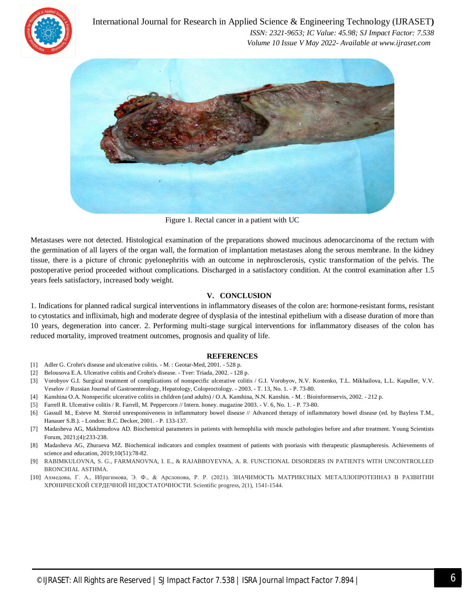

International Journal for Research in Applied Science & Engineering Technology (IJRASET**)**  *ISSN: 2321-9653; IC Value: 45.98; SJ Impact Factor: 7.538 Volume 10 Issue V May 2022- Available at www.ijraset.com*



Figure 1. Rectal cancer in a patient with UC

Metastases were not detected. Histological examination of the preparations showed mucinous adenocarcinoma of the rectum with the germination of all layers of the organ wall, the formation of implantation metastases along the serous membrane. In the kidney tissue, there is a picture of chronic pyelonephritis with an outcome in nephrosclerosis, cystic transformation of the pelvis. The postoperative period proceeded without complications. Discharged in a satisfactory condition. At the control examination after 1.5 years feels satisfactory, increased body weight.

#### **V. CONCLUSION**

1. Indications for planned radical surgical interventions in inflammatory diseases of the colon are: hormone-resistant forms, resistant to cytostatics and infliximab, high and moderate degree of dysplasia of the intestinal epithelium with a disease duration of more than 10 years, degeneration into cancer. 2. Performing multi-stage surgical interventions for inflammatory diseases of the colon has reduced mortality, improved treatment outcomes, prognosis and quality of life.

#### **REFERENCES**

- [1] Adler G. Crohn's disease and ulcerative colitis. M. : Geotar-Med, 2001. 528 p.
- [2] Belousova E.A. Ulcerative colitis and Crohn's disease. Tver: Triada, 2002. 128 p.
- [3] Vorobyov G.I. Surgical treatment of complications of nonspecific ulcerative colitis / G.I. Vorobyov, N.V. Kostenko, T.L. Mikhailova, L.L. Kapuller, V.V. Veselov // Russian Journal of Gastroenterology, Hepatology, Coloproctology. - 2003. - T. 13, No. 1. - P. 73-80.
- [4] Kanshina O.A. Nonspecific ulcerative colitis in children (and adults) / O.A. Kanshina, N.N. Kanshin. M. : Bioinformservis, 2002. 212 p.
- [5] Farrell R. Ulcerative colitis / R. Farrell, M. Peppercorn // Intern. honey. magazine 2003. V. 6, No. 1. P. 73-80.
- [6] Gassull M., Esteve M. Steroid unresponsiveness in inflammatory bowel disease // Advanced therapy of inflammatory bowel disease (ed. by Bayless T.M., Hanauer S.B.). - London: B.C. Decker, 2001. - P. 133-137.
- [7] Madasheva AG, Makhmudova AD. Biochemical parameters in patients with hemophilia with muscle pathologies before and after treatment. Young Scientists Forum, 2021;(4):233-238.
- [8] Madasheva AG, Zhuraeva MZ. Biochemical indicators and complex treatment of patients with psoriasis with therapeutic plasmapheresis. Achievements of science and education, 2019;10(51):78-82.
- [9] RABIMKULOVNA, S. G., FARMANOVNA, I. E., & RAJABBOYEVNA, A. R. FUNCTIONAL DISORDERS IN PATIENTS WITH UNCONTROLLED BRONCHIAL ASTHMA.
- [10] Ахмедова, Г. А., Ибрагимова, Э. Ф., & Арслонова, Р. Р. (2021). ЗНАЧИМОСТЬ МАТРИКСНЫХ МЕТАЛЛОПРОТЕИНАЗ В РАЗВИТИИ ХРОНИЧЕСКОЙ СЕРДЕЧНОЙ НЕДОСТАТОЧНОСТИ. Scientific progress, 2(1), 1541-1544.